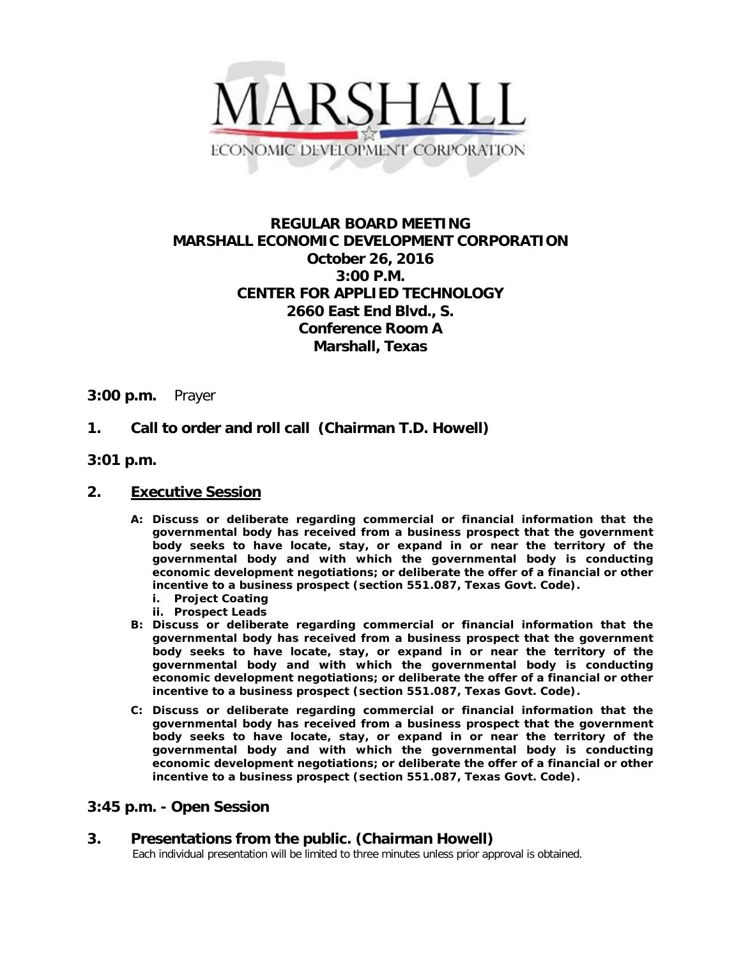

# **REGULAR BOARD MEETING MARSHALL ECONOMIC DEVELOPMENT CORPORATION October 26, 2016 3:00 P.M. CENTER FOR APPLIED TECHNOLOGY 2660 East End Blvd., S. Conference Room A Marshall, Texas**

#### **3:00 p.m.** Prayer

# **1. Call to order and roll call (Chairman T.D. Howell)**

**3:01 p.m.**

#### **2. Executive Session**

- **A: Discuss or deliberate regarding commercial or financial information that the governmental body has received from a business prospect that the government body seeks to have locate, stay, or expand in or near the territory of the governmental body and with which the governmental body is conducting economic development negotiations; or deliberate the offer of a financial or other incentive to a business prospect (section 551.087, Texas Govt. Code).**
	- **i. Project Coating**
	- **ii. Prospect Leads**
- **B: Discuss or deliberate regarding commercial or financial information that the governmental body has received from a business prospect that the government body seeks to have locate, stay, or expand in or near the territory of the governmental body and with which the governmental body is conducting economic development negotiations; or deliberate the offer of a financial or other incentive to a business prospect (section 551.087, Texas Govt. Code).**
- **C: Discuss or deliberate regarding commercial or financial information that the governmental body has received from a business prospect that the government body seeks to have locate, stay, or expand in or near the territory of the governmental body and with which the governmental body is conducting economic development negotiations; or deliberate the offer of a financial or other incentive to a business prospect (section 551.087, Texas Govt. Code).**

## **3:45 p.m. - Open Session**

# **3.** Presentations from the public. (Chairman Howell)<br>Each individual presentation will be limited to three minutes unless prior approval is obtained.